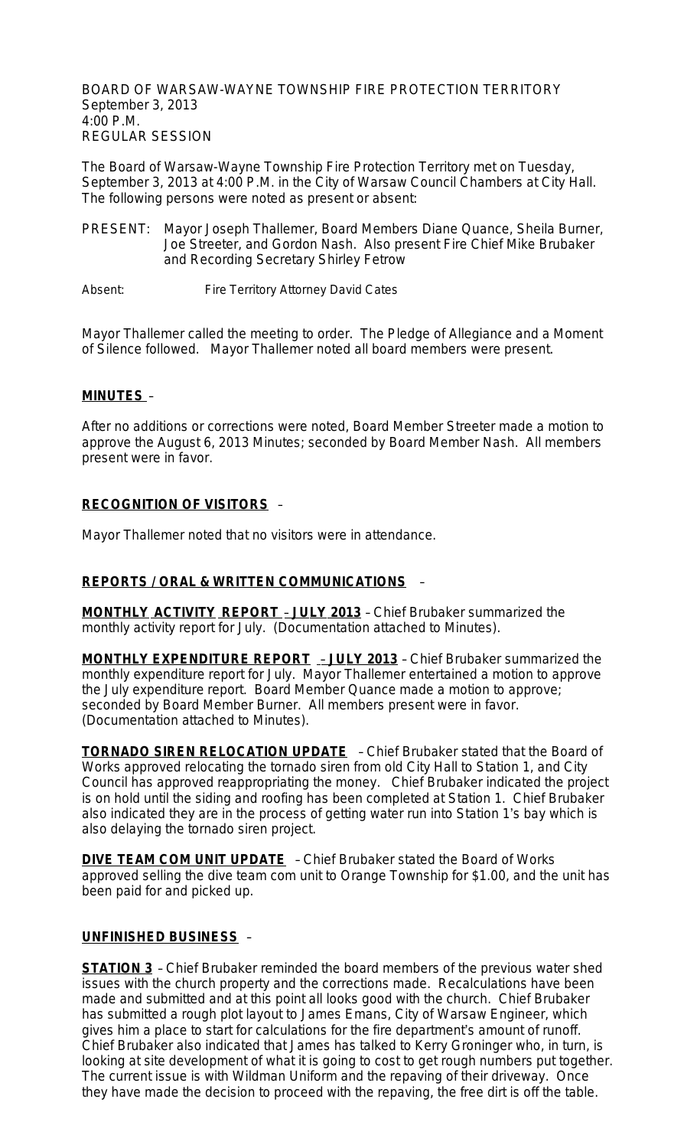BOARD OF WARSAW-WAYNE TOWNSHIP FIRE PROTECTION TERRITORY September 3, 2013 4:00 P.M. REGULAR SESSION

The Board of Warsaw-Wayne Township Fire Protection Territory met on Tuesday, September 3, 2013 at 4:00 P.M. in the City of Warsaw Council Chambers at City Hall. The following persons were noted as present or absent:

PRESENT: Mayor Joseph Thallemer, Board Members Diane Quance, Sheila Burner, Joe Streeter, and Gordon Nash. Also present Fire Chief Mike Brubaker and Recording Secretary Shirley Fetrow

Absent: Fire Territory Attorney David Cates

Mayor Thallemer called the meeting to order. The Pledge of Allegiance and a Moment of Silence followed. Mayor Thallemer noted all board members were present.

## **MINUTES** –

After no additions or corrections were noted, Board Member Streeter made a motion to approve the August 6, 2013 Minutes; seconded by Board Member Nash. All members present were in favor.

## **RECOGNITION OF VISITORS** –

Mayor Thallemer noted that no visitors were in attendance.

## **REPORTS / ORAL & WRITTEN COMMUNICATIONS** –

**MONTHLY ACTIVITY REPORT** – **JULY 2013** – Chief Brubaker summarized the monthly activity report for July. (Documentation attached to Minutes).

**MONTHLY EXPENDITURE REPORT** – **JULY 2013** – Chief Brubaker summarized the monthly expenditure report for July. Mayor Thallemer entertained a motion to approve the July expenditure report. Board Member Quance made a motion to approve; seconded by Board Member Burner. All members present were in favor. (Documentation attached to Minutes).

**TORNADO SIREN RELOCATION UPDATE** – Chief Brubaker stated that the Board of Works approved relocating the tornado siren from old City Hall to Station 1, and City Council has approved reappropriating the money. Chief Brubaker indicated the project is on hold until the siding and roofing has been completed at Station 1. Chief Brubaker also indicated they are in the process of getting water run into Station 1's bay which is also delaying the tornado siren project.

**DIVE TEAM COM UNIT UPDATE** - Chief Brubaker stated the Board of Works approved selling the dive team com unit to Orange Township for \$1.00, and the unit has been paid for and picked up.

## **UNFINISHED BUSINESS** –

**STATION 3** - Chief Brubaker reminded the board members of the previous water shed issues with the church property and the corrections made. Recalculations have been made and submitted and at this point all looks good with the church. Chief Brubaker has submitted a rough plot layout to James Emans, City of Warsaw Engineer, which gives him a place to start for calculations for the fire department's amount of runoff. Chief Brubaker also indicated that James has talked to Kerry Groninger who, in turn, is looking at site development of what it is going to cost to get rough numbers put together. The current issue is with Wildman Uniform and the repaving of their driveway. Once they have made the decision to proceed with the repaving, the free dirt is off the table.